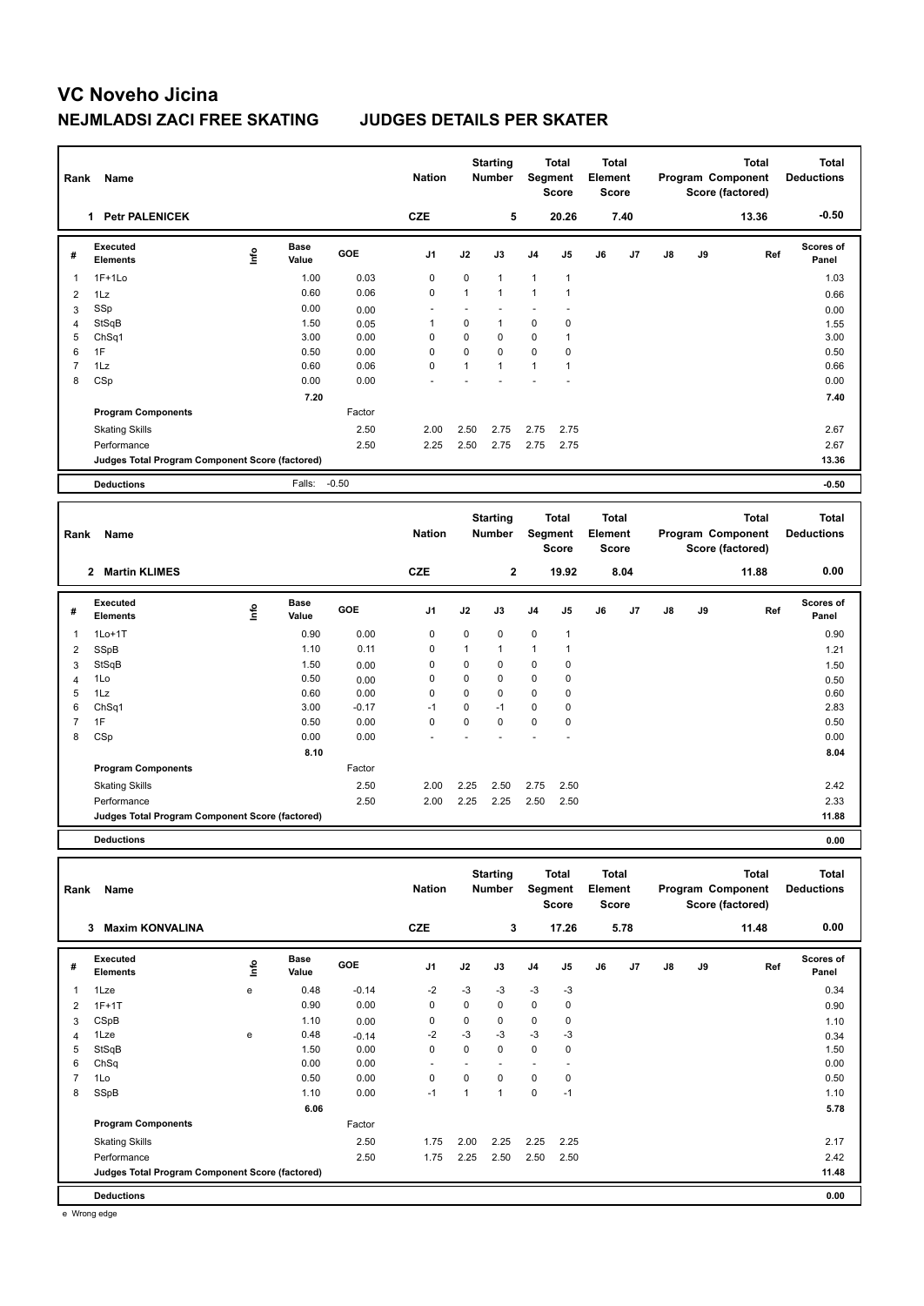## **VC Noveho Jicina NEJMLADSI ZACI FREE SKATING JUDGES DETAILS PER SKATER**

| Rank           | <b>Name</b>                                     |      |                      |            | <b>Nation</b> |              | <b>Starting</b><br><b>Number</b> | Segment        | <b>Total</b><br><b>Score</b> | <b>Total</b><br>Element<br><b>Score</b> |      |               |    | <b>Total</b><br>Program Component<br>Score (factored) | <b>Total</b><br><b>Deductions</b> |
|----------------|-------------------------------------------------|------|----------------------|------------|---------------|--------------|----------------------------------|----------------|------------------------------|-----------------------------------------|------|---------------|----|-------------------------------------------------------|-----------------------------------|
|                | <b>Petr PALENICEK</b><br>1                      |      |                      |            | <b>CZE</b>    |              | 5                                |                | 20.26                        |                                         | 7.40 |               |    | 13.36                                                 | $-0.50$                           |
| #              | Executed<br><b>Elements</b>                     | ١nf٥ | <b>Base</b><br>Value | <b>GOE</b> | J1            | J2           | J3                               | J <sub>4</sub> | J <sub>5</sub>               | J6                                      | J7   | $\mathsf{J}8$ | J9 | Ref                                                   | Scores of<br>Panel                |
| $\overline{1}$ | $1F+1Lo$                                        |      | 1.00                 | 0.03       | 0             | $\mathbf 0$  | $\mathbf{1}$                     | $\mathbf{1}$   | $\mathbf{1}$                 |                                         |      |               |    |                                                       | 1.03                              |
| $\overline{2}$ | 1Lz                                             |      | 0.60                 | 0.06       | $\mathbf 0$   | $\mathbf{1}$ | $\mathbf{1}$                     | $\mathbf{1}$   | 1                            |                                         |      |               |    |                                                       | 0.66                              |
| 3              | SSp                                             |      | 0.00                 | 0.00       |               |              |                                  |                |                              |                                         |      |               |    |                                                       | 0.00                              |
| $\overline{4}$ | StSqB                                           |      | 1.50                 | 0.05       | -1            | $\mathbf 0$  | $\mathbf{1}$                     | $\mathbf 0$    | $\mathbf 0$                  |                                         |      |               |    |                                                       | 1.55                              |
| 5              | Ch <sub>Sq1</sub>                               |      | 3.00                 | 0.00       | 0             | 0            | 0                                | 0              | 1                            |                                         |      |               |    |                                                       | 3.00                              |
| 6              | 1F                                              |      | 0.50                 | 0.00       | 0             | 0            | 0                                | $\mathbf 0$    | 0                            |                                         |      |               |    |                                                       | 0.50                              |
| $\overline{7}$ | 1Lz                                             |      | 0.60                 | 0.06       | $\mathbf 0$   | 1            | $\mathbf{1}$                     | $\mathbf{1}$   | 1                            |                                         |      |               |    |                                                       | 0.66                              |
| 8              | CSp                                             |      | 0.00                 | 0.00       |               |              |                                  |                |                              |                                         |      |               |    |                                                       | 0.00                              |
|                |                                                 |      | 7.20                 |            |               |              |                                  |                |                              |                                         |      |               |    |                                                       | 7.40                              |
|                | <b>Program Components</b>                       |      |                      | Factor     |               |              |                                  |                |                              |                                         |      |               |    |                                                       |                                   |
|                | <b>Skating Skills</b>                           |      |                      | 2.50       | 2.00          | 2.50         | 2.75                             | 2.75           | 2.75                         |                                         |      |               |    |                                                       | 2.67                              |
|                | Performance                                     |      |                      | 2.50       | 2.25          | 2.50         | 2.75                             | 2.75           | 2.75                         |                                         |      |               |    |                                                       | 2.67                              |
|                | Judges Total Program Component Score (factored) |      |                      |            |               |              |                                  |                |                              |                                         |      |               |    |                                                       | 13.36                             |
|                | <b>Deductions</b>                               |      | Falls:               | $-0.50$    |               |              |                                  |                |                              |                                         |      |               |    |                                                       | $-0.50$                           |
|                |                                                 |      |                      |            |               |              |                                  |                |                              |                                         |      |               |    |                                                       |                                   |
| Rank           | Name                                            |      |                      |            | <b>Nation</b> |              | <b>Starting</b><br><b>Number</b> | Segment        | <b>Total</b><br><b>Score</b> | <b>Total</b><br>Element<br><b>Score</b> |      |               |    | <b>Total</b><br>Program Component<br>Score (factored) | <b>Total</b><br><b>Deductions</b> |
|                | <b>Martin KLIMES</b><br>$\mathbf{2}$            |      |                      |            | <b>CZE</b>    |              | 2                                |                | 19.92                        |                                         | 8.04 |               |    | 11.88                                                 | 0.00                              |

|   | ◢<br>- Martin RLIMES                            |      |               |         | ◡∠⊏            |      | ◢    |                | 19.94       |    | o.v4 |               |    | 11.00 | v.vv               |
|---|-------------------------------------------------|------|---------------|---------|----------------|------|------|----------------|-------------|----|------|---------------|----|-------|--------------------|
| # | Executed<br><b>Elements</b>                     | lnfo | Base<br>Value | GOE     | J <sub>1</sub> | J2   | J3   | J <sub>4</sub> | J5          | J6 | J7   | $\mathsf{J}8$ | J9 | Ref   | Scores of<br>Panel |
|   | $1Lo+1T$                                        |      | 0.90          | 0.00    | 0              | 0    | 0    | 0              |             |    |      |               |    |       | 0.90               |
| 2 | SSpB                                            |      | 1.10          | 0.11    | 0              |      |      | 1              |             |    |      |               |    |       | 1.21               |
| 3 | StSqB                                           |      | 1.50          | 0.00    | 0              | 0    | 0    | 0              | $\mathbf 0$ |    |      |               |    |       | 1.50               |
| 4 | 1Lo                                             |      | 0.50          | 0.00    | 0              | 0    | 0    | 0              | 0           |    |      |               |    |       | 0.50               |
| 5 | 1Lz                                             |      | 0.60          | 0.00    | 0              | 0    | 0    | 0              | 0           |    |      |               |    |       | 0.60               |
| 6 | ChSq1                                           |      | 3.00          | $-0.17$ | $-1$           | 0    | $-1$ | 0              | 0           |    |      |               |    |       | 2.83               |
| 7 | 1F                                              |      | 0.50          | 0.00    | 0              | 0    | 0    | 0              | 0           |    |      |               |    |       | 0.50               |
| 8 | CSp                                             |      | 0.00          | 0.00    | ۰              |      |      |                |             |    |      |               |    |       | 0.00               |
|   |                                                 |      | 8.10          |         |                |      |      |                |             |    |      |               |    |       | 8.04               |
|   | <b>Program Components</b>                       |      |               | Factor  |                |      |      |                |             |    |      |               |    |       |                    |
|   | <b>Skating Skills</b>                           |      |               | 2.50    | 2.00           | 2.25 | 2.50 | 2.75           | 2.50        |    |      |               |    |       | 2.42               |
|   | Performance                                     |      |               | 2.50    | 2.00           | 2.25 | 2.25 | 2.50           | 2.50        |    |      |               |    |       | 2.33               |
|   | Judges Total Program Component Score (factored) |      |               |         |                |      |      |                |             |    |      |               |    |       | 11.88              |
|   |                                                 |      |               |         |                |      |      |                |             |    |      |               |    |       |                    |

**Deductions 0.00**

| Rank | Name                                            |      |                      |            | <b>Nation</b>  |             | <b>Starting</b><br>Total<br>Segment<br><b>Number</b><br><b>Score</b> |                | <b>Total</b><br>Element<br><b>Score</b> |    | Program Component |    | <b>Total</b><br>Score (factored) | <b>Total</b><br><b>Deductions</b> |                           |
|------|-------------------------------------------------|------|----------------------|------------|----------------|-------------|----------------------------------------------------------------------|----------------|-----------------------------------------|----|-------------------|----|----------------------------------|-----------------------------------|---------------------------|
|      | <b>Maxim KONVALINA</b><br>3                     |      |                      |            | <b>CZE</b>     |             | 3                                                                    |                | 17.26                                   |    | 5.78              |    |                                  | 11.48                             | 0.00                      |
| #    | Executed<br><b>Elements</b>                     | Life | <b>Base</b><br>Value | <b>GOE</b> | J <sub>1</sub> | J2          | J3                                                                   | J <sub>4</sub> | J <sub>5</sub>                          | J6 | J7                | J8 | J9                               | Ref                               | <b>Scores of</b><br>Panel |
| 1    | 1Lze                                            | e    | 0.48                 | $-0.14$    | $-2$           | $-3$        | $-3$                                                                 | $-3$           | $-3$                                    |    |                   |    |                                  |                                   | 0.34                      |
| 2    | $1F+1T$                                         |      | 0.90                 | 0.00       | 0              | $\mathbf 0$ | 0                                                                    | 0              | 0                                       |    |                   |    |                                  |                                   | 0.90                      |
| 3    | CSpB                                            |      | 1.10                 | 0.00       | $\mathbf 0$    | $\mathbf 0$ | $\mathbf 0$                                                          | $\mathbf 0$    | $\mathbf 0$                             |    |                   |    |                                  |                                   | 1.10                      |
| 4    | 1Lze                                            | e    | 0.48                 | $-0.14$    | $-2$           | $-3$        | $-3$                                                                 | $-3$           | -3                                      |    |                   |    |                                  |                                   | 0.34                      |
| 5    | StSqB                                           |      | 1.50                 | 0.00       | 0              | 0           | $\Omega$                                                             | $\mathbf 0$    | 0                                       |    |                   |    |                                  |                                   | 1.50                      |
| 6    | ChSq                                            |      | 0.00                 | 0.00       | ٠              |             |                                                                      | ٠              |                                         |    |                   |    |                                  |                                   | 0.00                      |
|      | 1Lo                                             |      | 0.50                 | 0.00       | 0              | 0           | 0                                                                    | $\mathbf 0$    | 0                                       |    |                   |    |                                  |                                   | 0.50                      |
| 8    | SSpB                                            |      | 1.10                 | 0.00       | $-1$           |             | $\overline{1}$                                                       | $\mathbf 0$    | $-1$                                    |    |                   |    |                                  |                                   | 1.10                      |
|      |                                                 |      | 6.06                 |            |                |             |                                                                      |                |                                         |    |                   |    |                                  |                                   | 5.78                      |
|      | <b>Program Components</b>                       |      |                      | Factor     |                |             |                                                                      |                |                                         |    |                   |    |                                  |                                   |                           |
|      | <b>Skating Skills</b>                           |      |                      | 2.50       | 1.75           | 2.00        | 2.25                                                                 | 2.25           | 2.25                                    |    |                   |    |                                  |                                   | 2.17                      |
|      | Performance                                     |      |                      | 2.50       | 1.75           | 2.25        | 2.50                                                                 | 2.50           | 2.50                                    |    |                   |    |                                  |                                   | 2.42                      |
|      | Judges Total Program Component Score (factored) |      |                      |            |                |             |                                                                      |                |                                         |    |                   |    |                                  |                                   | 11.48                     |
|      | <b>Deductions</b>                               |      |                      |            |                |             |                                                                      |                |                                         |    |                   |    |                                  |                                   | 0.00                      |

e Wrong edge